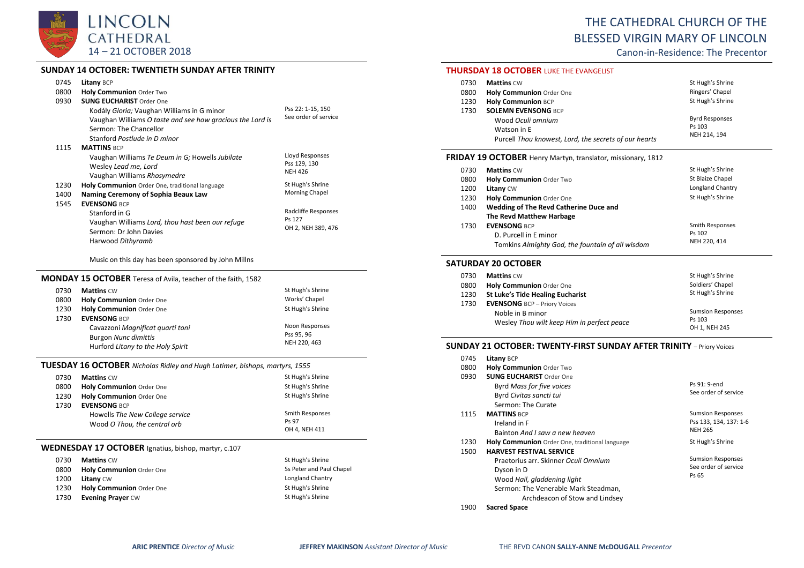

### **SUNDAY 14 OCTOBER: TWENTIETH SUNDAY AFTER TRINITY**

| 0745 | Litany BCP                                                |                      |
|------|-----------------------------------------------------------|----------------------|
| 0800 | <b>Holy Communion Order Two</b>                           |                      |
| 0930 | <b>SUNG EUCHARIST Order One</b>                           |                      |
|      | Kodály Gloria; Vaughan Williams in G minor                | Pss 22: 1-15, 150    |
|      | Vaughan Williams O taste and see how gracious the Lord is | See order of service |
|      | Sermon: The Chancellor                                    |                      |
|      | Stanford Postlude in D minor                              |                      |
| 1115 | <b>MATTINS BCP</b>                                        |                      |
|      | Vaughan Williams Te Deum in G; Howells Jubilate           | Lloyd Responses      |
|      | Wesley Lead me, Lord                                      | Pss 129, 130         |
|      | Vaughan Williams Rhosymedre                               | <b>NEH 426</b>       |
| 1230 | Holy Communion Order One, traditional language            | St Hugh's Shrine     |
| 1400 | Naming Ceremony of Sophia Beaux Law                       | Morning Chapel       |
| 1545 | <b>EVENSONG BCP</b>                                       |                      |
|      | Stanford in G                                             | Radcliffe Responses  |
|      | Vaughan Williams Lord, thou hast been our refuge          | Ps 127               |
|      | Sermon: Dr John Davies                                    | OH 2, NEH 389, 476   |
|      | Harwood Dithyramb                                         |                      |
|      |                                                           |                      |

Music on this day has been sponsored by John Millns

## **MONDAY 15 OCTOBER** Teresa of Avila, teacher of the faith, 1582

| 0730 | <b>Mattins CW</b>                 | St Hugh's Shrine |
|------|-----------------------------------|------------------|
| 0800 | Holy Communion Order One          | Works' Chapel    |
| 1230 | Holy Communion Order One          | St Hugh's Shrine |
| 1730 | <b>EVENSONG BCP</b>               |                  |
|      | Cavazzoni Magnificat quarti toni  | Noon Responses   |
|      | <b>Burgon Nunc dimittis</b>       | Pss 95, 96       |
|      | Hurford Litany to the Holy Spirit | NEH 220, 463     |

## **TUESDAY 16 OCTOBER** *Nicholas Ridley and Hugh Latimer, bishops, martyrs, 1555*

| 0730 | <b>Mattins CW</b>               | St Hugh's Shrine |
|------|---------------------------------|------------------|
| 0800 | <b>Holy Communion</b> Order One | St Hugh's Shrine |
| 1230 | Holy Communion Order One        | St Hugh's Shrine |
| 1730 | <b>EVENSONG BCP</b>             |                  |
|      | Howells The New College service | Smith Responses  |
|      | Wood O Thou, the central orb    | Ps 97            |
|      |                                 | OH 4. NEH 411    |

#### **WEDNESDAY 17 OCTOBER** Ignatius, bishop, martyr, c.107

| 0730 | <b>Mattins CW</b>        | St Hugh's Shrine         |
|------|--------------------------|--------------------------|
| 0800 | Holy Communion Order One | Ss Peter and Paul Chapel |
| 1200 | <b>Litany CW</b>         | Longland Chantry         |
| 1230 | Holy Communion Order One | St Hugh's Shrine         |
| 1730 | <b>Evening Prayer CW</b> | St Hugh's Shrine         |

# THE CATHEDRAL CHURCH OF THE BLESSED VIRGIN MARY OF LINCOLN

Canon-in-Residence: The Precentor

#### **THURSDAY 18 OCTOBER** LUKE THE EVANGELIST

| 0730 | <b>Mattins CW</b>                                     | St Hugh's Shrine      |
|------|-------------------------------------------------------|-----------------------|
| 0800 | Holy Communion Order One                              | Ringers' Chapel       |
| 1230 | <b>Holy Communion BCP</b>                             | St Hugh's Shrine      |
| 1730 | <b>SOLEMN EVENSONG BCP</b>                            |                       |
|      | Wood Oculi omnium                                     | <b>Byrd Responses</b> |
|      | Watson in E                                           | Ps 103                |
|      | Purcell Thou knowest, Lord, the secrets of our hearts | NEH 214, 194          |

#### **FRIDAY 19 OCTOBER** Henry Martyn, translator, missionary, 1812

| 0730 | <b>Mattins CW</b>                                | St Hugh's Shrine |
|------|--------------------------------------------------|------------------|
| 0800 | Holy Communion Order Two                         | St Blaize Chapel |
| 1200 | <b>Litany CW</b>                                 | Longland Chantry |
| 1230 | Holy Communion Order One                         | St Hugh's Shrine |
| 1400 | Wedding of The Revd Catherine Duce and           |                  |
|      | The Revd Matthew Harbage                         |                  |
| 1730 | <b>EVENSONG BCP</b>                              | Smith Responses  |
|      | D. Purcell in E minor                            | Ps 102           |
|      | Tomkins Almighty God, the fountain of all wisdom | NEH 220, 414     |

#### **SATURDAY 20 OCTOBER**

| 0730 | <b>Mattins CW</b>                          | St Hugh's Shrine         |
|------|--------------------------------------------|--------------------------|
| 0800 | Holy Communion Order One                   | Soldiers' Chapel         |
| 1230 | <b>St Luke's Tide Healing Eucharist</b>    | St Hugh's Shrine         |
| 1730 | <b>EVENSONG</b> BCP - Priory Voices        |                          |
|      | Noble in B minor                           | <b>Sumsion Responses</b> |
|      | Wesley Thou wilt keep Him in perfect peace | Ps 103                   |
|      |                                            | OH 1, NEH 245            |

# **SUNDAY 21 OCTOBER: TWENTY-FIRST SUNDAY AFTER TRINITY** – Priory Voices

| 0745 | <b>Litany BCP</b>                                     |                          |
|------|-------------------------------------------------------|--------------------------|
| 0800 | <b>Holy Communion Order Two</b>                       |                          |
| 0930 | <b>SUNG EUCHARIST Order One</b>                       |                          |
|      | Byrd Mass for five voices                             | Ps 91: 9-end             |
|      | Byrd Civitas sancti tui                               | See order of service     |
|      | Sermon: The Curate                                    |                          |
| 1115 | <b>MATTINS BCP</b>                                    | <b>Sumsion Responses</b> |
|      | Ireland in F                                          | Pss 133, 134, 137: 1-6   |
|      | Bainton And I saw a new heaven                        | <b>NEH 265</b>           |
| 1230 | <b>Holy Communion</b> Order One, traditional language | St Hugh's Shrine         |
| 1500 | <b>HARVEST FESTIVAL SERVICE</b>                       |                          |
|      | Praetorius arr. Skinner Oculi Omnium                  | <b>Sumsion Responses</b> |
|      | Dyson in D                                            | See order of service     |
|      | Wood Hail, gladdening light                           | Ps 65                    |
|      | Sermon: The Venerable Mark Steadman.                  |                          |
|      | Archdeacon of Stow and Lindsey                        |                          |
| 1900 | <b>Sacred Space</b>                                   |                          |